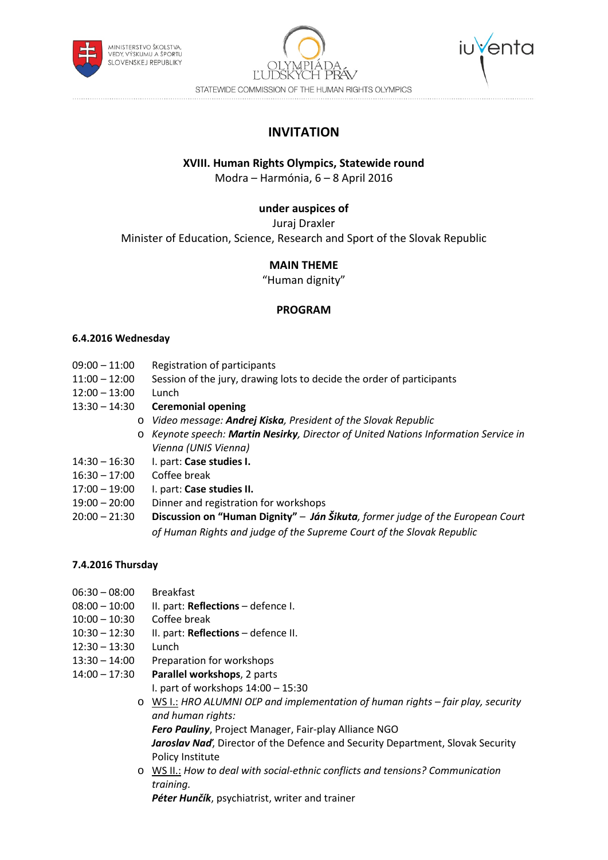





**INVITATION**

## **XVIII. Human Rights Olympics, Statewide round**

Modra – Harmónia, 6 – 8 April 2016

## **under auspices of**

Juraj Draxler

Minister of Education, Science, Research and Sport of the Slovak Republic

# **MAIN THEME**

"Human dignity"

## **PROGRAM**

#### **6.4.2016 Wednesday**

- 09:00 11:00 Registration of participants
- 11:00 12:00 Session of the jury, drawing lots to decide the order of participants
- 12:00 13:00 Lunch
- 13:30 14:30 **Ceremonial opening**
	- o *Video message: Andrej Kiska, President of the Slovak Republic*
	- o *Keynote speech: Martin Nesirky, Director of United Nations Information Service in Vienna (UNIS Vienna)*
- 14:30 16:30 I. part: **Case studies I.**
- 16:30 17:00 Coffee break
- 17:00 19:00 I. part: **Case studies II.**
- 19:00 20:00 Dinner and registration for workshops
- 20:00 21:30 **Discussion on "Human Dignity"** *– Ján Šikuta, former judge of the European Court of Human Rights and judge of the Supreme Court of the Slovak Republic*

## **7.4.2016 Thursday**

- 06:30 08:00 Breakfast
- 08:00 10:00 II. part: **Reflections** defence I.
- 10:00 10:30 Coffee break
- 10:30 12:30 II. part: **Reflections** defence II.
- 12:30 13:30 Lunch
- 13:30 14:00 Preparation for workshops
- 14:00 17:30 **Parallel workshops**, 2 parts
	- I. part of workshops 14:00 15:30
	- o WS I.: *HRO ALUMNI OĽP and implementation of human rights – fair play, security and human rights:*

*Fero Pauliny*, Project Manager, Fair-play Alliance NGO

*Jaroslav Naď*, Director of the Defence and Security Department, Slovak Security Policy Institute

o WS II.: *How to deal with social-ethnic conflicts and tensions? Communication training.*

*Péter Hunčík*, psychiatrist, writer and trainer